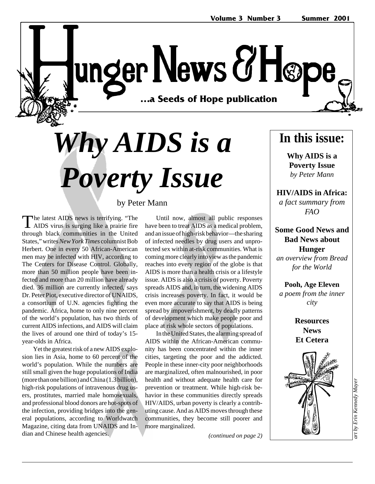unger News & Høpe …a Seeds of Hope publication **…a Seeds of Hope publication**

# *Why AIDS is a Poverty Issue*

by Peter Mann

The latest AIDS news is terrifying. "The AIDS virus is surging like a prairie fire through black communities in the United States," writes *New York Times* columnist Bob Herbert. One in every 50 African-American men may be infected with HIV, according to The Centers for Disease Control. Globally, more than 50 million people have been infected and more than 20 million have already died. 36 million are currently infected, says Dr. Peter Piot, executive director of UNAIDS, a consortium of U.N. agencies fighting the pandemic. Africa, home to only nine percent of the world's population, has two thirds of current AIDS infections, and AIDS will claim the lives of around one third of today's 15 year-olds in Africa.

Yet the greatest risk of a new AIDS explosion lies in Asia, home to 60 percent of the world's population. While the numbers are still small given the huge populations of India (more than one billion) and China (1.3 billion), high-risk populations of intravenous drug users, prostitutes, married male homosexuals, and professional blood donors are hot-spots of the infection, providing bridges into the general populations, according to Worldwatch Magazine, citing data from UNAIDS and Indian and Chinese health agencies.

#### Until now, almost all public responses have been to treat AIDS as a medical problem, and an issue of high-risk behavior—the sharing of infected needles by drug users and unprotected sex within at-risk communities. What is

coming more clearly into view as the pandemic reaches into every region of the globe is that AIDS is more than a health crisis or a lifestyle issue. AIDS is also a crisis of poverty. Poverty spreads AIDS and, in turn, the widening AIDS crisis increases poverty. In fact, it would be even more accurate to say that AIDS is being spread by impoverishment, by deadly patterns of development which make people poor and place at risk whole sectors of populations.

In the United States, the alarming spread of AIDS within the African-American community has been concentrated within the inner cities, targeting the poor and the addicted. People in these inner-city poor neighborhoods are marginalized, often malnourished, in poor health and without adequate health care for prevention or treatment. While high-risk behavior in these communities directly spreads HIV/AIDS, urban poverty is clearly a contributing cause. And as AIDS moves through these communities, they become still poorer and more marginalized.

*(continued on page 2)*

## **In this issue:**

**Why AIDS is a Poverty Issue** *by Peter Mann*

**HIV/AIDS in Africa:** *a fact summary from FAO*

**Some Good News and Bad News about Hunger**

*an overview from Bread for the World*

**Pooh, Age Eleven** *a poem from the inner city*

> **Resources News Et Cetera**

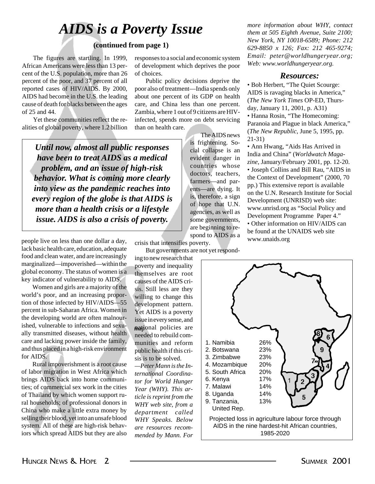## *AIDS is a Poverty Issue*

#### **(continued from page 1)**

The figures are startling. In 1999, African Americans were less than 13 percent of the U.S. population, more than 26 percent of the poor, and 37 percent of all reported cases of HIV/AIDS. By 2000, AIDS had become in the U.S. the leading cause of death for blacks between the ages of 25 and 44.

Yet these communities reflect the realities of global poverty, where 1.2 billion

*Until now, almost all public responses have been to treat AIDS as a medical problem, and an issue of high-risk behavior. What is coming more clearly into view as the pandemic reaches into every region of the globe is that AIDS is more than a health crisis or a lifestyle issue. AIDS is also a crisis of poverty.*

people live on less than one dollar a day, lack basic health care, education, adequate food and clean water, and are increasingly marginalized—impoverished—within the global economy. The status of women is a key indicator of vulnerability to AIDS.

Women and girls are a majority of the world's poor, and an increasing proportion of those infected by HIV/AIDS—55 percent in sub-Saharan Africa. Women in the developing world are often malnourished, vulnerable to infections and sexually transmitted diseases, without health care and lacking power inside the family, and thus placed in a high-risk environment for AIDS.

Rural impoverishment is a root cause of labor migration in West Africa which brings AIDS back into home communities; of commercial sex work in the cities of Thailand by which women support rural households; of professional donors in China who make a little extra money by selling their blood, yet into an unsafe blood system. All of these are high-risk behaviors which spread AIDS but they are also responses to a social and economic system of development which deprives the poor of choices.

Public policy decisions deprive the poor also of treatment—India spends only about one percent of its GDP on health care, and China less than one percent. Zambia, where 1 out of 9 citizens are HIVinfected, spends more on debt servicing than on health care. The AIDS news

> is frightening. Social collapse is an evident danger in countries whose doctors, teachers, farmers—and parents—are dying. It is, therefore, a sign of hope that U.N. agencies, as well as some governments, are beginning to respond to AIDS as a

*more information about WHY, contact them at 505 Eighth Avenue, Suite 2100; New York, NY 10018-6589; Phone: 212 629-8850 x 126; Fax: 212 465-9274; Email: peter@worldhungeryear.org; Web: www.worldhungeryear.org.*

#### *Resources:*

• Bob Herbert, "The Quiet Scourge: AIDS is ravaging blacks in America," (*The New York Times* OP-ED, Thursday, January 11, 2001, p. A31) • Hanna Rosin, "The Homecoming: Paranoia and Plague in black America," (*The New Republic*, June 5, 1995, pp. 21-31)

• Ann Hwang, "Aids Has Arrived in India and China" (*Worldwatch Magazine*, January/February 2001, pp. 12-20. • Joseph Collins and Bill Rau, "AIDS in the Context of Development" (2000, 70 pp.) This extensive report is available on the U.N. Research Institute for Social Development (UNRISD) web site: www.unrisd.org as "Social Policy and Development Programme Paper 4." • Other information on HIV/AIDS can be found at the UNAIDS web site www.unaids.org

crisis that intensifies poverty.

But governments are not yet responding to new research that

poverty and inequality themselves are root causes of the AIDS crisis. Still less are they willing to change this development pattern. Yet AIDS is a poverty issue in every sense, and mational policies are needed to rebuild communities and reform public health if this crisis is to be solved.

*—Peter Mann is the International Coordinator for World Hunger Year (WHY). This article is reprint from the WHY web site, from a department called WHY Speaks. Below are resources recommended by Mann. For*

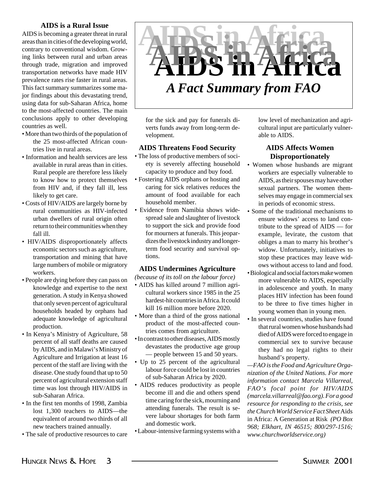#### **AIDS is a Rural Issue**

AIDS is becoming a greater threat in rural areas than in cities of the developing world, contrary to conventional wisdom. Growing links between rural and urban areas through trade, migration and improved transportation networks have made HIV prevalence rates rise faster in rural areas. This fact summary summarizes some major findings about this devastating trend, using data for sub-Saharan Africa, home to the most-affected countries. The main conclusions apply to other developing countries as well.

- More than two thirds of the population of the 25 most-affected African countries live in rural areas.
- Information and health services are less available in rural areas than in cities. Rural people are therefore less likely to know how to protect themselves from HIV and, if they fall ill, less likely to get care.
- Costs of HIV/AIDS are largely borne by rural communities as HIV-infected urban dwellers of rural origin often return to their communities when they fall ill.
- HIV/AIDS disproportionately affects economic sectors such as agriculture, transportation and mining that have large numbers of mobile or migratory workers.
- People are dying before they can pass on knowledge and expertise to the next generation. A study in Kenya showed that only seven percent of agricultural households headed by orphans had adequate knowledge of agricultural production.
- In Kenya's Ministry of Agriculture, 58 percent of all staff deaths are caused by AIDS, and in Malawi's Ministry of Agriculture and Irrigation at least 16 percent of the staff are living with the disease. One study found that up to 50 percent of agricultural extension staff time was lost through HIV/AIDS in sub-Saharan Africa.
- In the first ten months of 1998, Zambia lost 1,300 teachers to AIDS—the equivalent of around two thirds of all new teachers trained annually.
- The sale of productive resources to care



for the sick and pay for funerals diverts funds away from long-term development.

#### **AIDS Threatens Food Security**

- The loss of productive members of society is severely affecting household capacity to produce and buy food.
- Fostering AIDS orphans or hosting and caring for sick relatives reduces the amount of food available for each household member.
- Evidence from Namibia shows widespread sale and slaughter of livestock to support the sick and provide food for mourners at funerals. This jeopardizes the livestock industry and longerterm food security and survival options.

#### **AIDS Undermines Agriculture**

*(because of its toll on the labour force)*

- AIDS has killed around 7 million agricultural workers since 1985 in the 25 hardest-hit countries in Africa. It could kill 16 million more before 2020.
- More than a third of the gross national product of the most-affected countries comes from agriculture.
- In contrast to other diseases, AIDS mostly devastates the productive age group — people between 15 and 50 years.
- Up to 25 percent of the agricultural labour force could be lost in countries of sub-Saharan Africa by 2020.
- AIDS reduces productivity as people become ill and die and others spend time caring for the sick, mourning and attending funerals. The result is severe labour shortages for both farm and domestic work.
- Labour-intensive farming systems with a

low level of mechanization and agricultural input are particularly vulnerable to AIDS.

#### **AIDS Affects Women Disproportionately**

- Women whose husbands are migrant workers are especially vulnerable to AIDS, as their spouses may have other sexual partners. The women themselves may engage in commercial sex in periods of economic stress.
- Some of the traditional mechanisms to ensure widows' access to land contribute to the spread of AIDS — for example, levirate, the custom that obliges a man to marry his brother's widow. Unfortunately, initiatives to stop these practices may leave widows without access to land and food.
- Biological and social factors make women more vulnerable to AIDS, especially in adolescence and youth. In many places HIV infection has been found to be three to five times higher in young women than in young men.
- In several countries, studies have found that rural women whose husbands had died of AIDS were forced to engage in commercial sex to survive because they had no legal rights to their husband's property.

*—FAO is the Food and Agriculture Organization of the United Nations. For more information contact Marcela Villarreal, FAO's focal point for HIV/AIDS (marcela.villarreal@fao.org). For a good resource for responding to the crisis, see the Church World Service Fact Sheet* Aids in Africa: A Generation at Risk *(PO Box 968; Elkhart, IN 46515; 800/297-1516; www.churchworldservice.org)*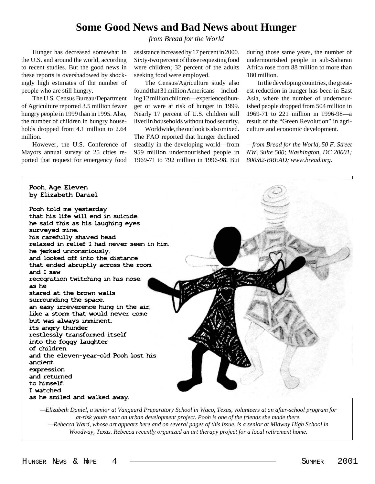#### **Some Good News and Bad News about Hunger**

*from Bread for the World*

Hunger has decreased somewhat in the U.S. and around the world, according to recent studies. But the good news in these reports is overshadowed by shockingly high estimates of the number of people who are still hungry.

The U.S. Census Bureau/Department of Agriculture reported 3.5 million fewer hungry people in 1999 than in 1995. Also, the number of children in hungry households dropped from 4.1 million to 2.64 million.

However, the U.S. Conference of Mayors annual survey of 25 cities reported that request for emergency food

assistance increased by 17 percent in 2000. Sixty-two percent of those requesting food were children; 32 percent of the adults seeking food were employed.

The Census/Agriculture study also found that 31 million Americans—including 12 million children—experienced hunger or were at risk of hunger in 1999. Nearly 17 percent of U.S. children still lived in households without food security.

Worldwide, the outlook is also mixed. The FAO reported that hunger declined steadily in the developing world—from 959 million undernourished people in 1969-71 to 792 million in 1996-98. But during those same years, the number of undernourished people in sub-Saharan Africa rose from 88 million to more than 180 million.

In the developing countries, the greatest reduction in hunger has been in East Asia, where the number of undernourished people dropped from 504 million in 1969-71 to 221 million in 1996-98—a result of the "Green Revolution" in agriculture and economic development.

*—from Bread for the World, 50 F. Street NW, Suite 500; Washington, DC 20001; 800/82-BREAD; www.bread.org.*



*—Elizabeth Daniel, a senior at Vanguard Preparatory School in Waco, Texas, volunteers at an after-school program for at-risk youth near an urban development project. Pooh is one of the friends she made there. —Rebecca Ward, whose art appears here and on several pages of this issue, is a senior at Midway High School in Woodway, Texas. Rebecca recently organized an art therapy project for a local retirement home.*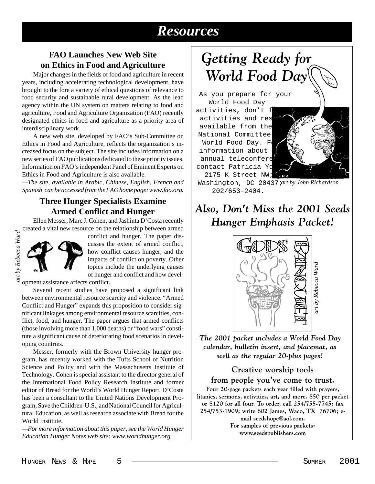## *Resources*

#### **FAO Launches New Web Site on Ethics in Food and Agriculture**

Major changes in the fields of food and agriculture in recent years, including accelerating technological development, have brought to the fore a variety of ethical questions of relevance to food security and sustainable rural development. As the lead agency within the UN system on matters relating to food and agriculture, Food and Agriculture Organization (FAO) recently designated ethics in food and agriculture as a priority area of interdisciplinary work.

A new web site, developed by FAO's Sub-Committee on Ethics in Food and Agriculture, reflects the organization's increased focus on the subject. The site includes information on a new series of FAO publications dedicated to these priority issues. Information on FAO's independent Panel of Eminent Experts on Ethics in Food and Agriculture is also available.

*—The site, available in Arabic, Chinese, English, French and Spanish, can be accessed from the FAO home page: www.fao.org.*

#### **Three Hunger Specialists Examine Armed Conflict and Hunger**

Ellen Messer, Marc J. Cohen, and Jashinta D'Costa recently created a vital new resource on the relationship between armed



conflict and hunger. The paper discusses the extent of armed conflict, how conflict causes hunger, and the impacts of conflict on poverty. Other topics include the underlying causes of hunger and conflict and how devel-

opment assistance affects conflict.

Several recent studies have proposed a significant link between environmental resource scarcity and violence. "Armed Conflict and Hunger" expands this proposition to consider significant linkages among environmental resource scarcities, conflict, food, and hunger. The paper argues that armed conflicts (those involving more than 1,000 deaths) or "food wars" constitute a significant cause of deteriorating food scenarios in developing countries.

Messer, formerly with the Brown University hunger program, has recently worked with the Tufts School of Nutrition Science and Policy and with the Massachusetts Institute of Technology. Cohen is special assistant to the director general of the International Food Policy Research Institute and former editor of Bread for the World's World Hunger Report. D'Costa has been a consultant to the United Nations Development Program, Save the Children-U.S., and National Council for Agricultural Education, as well as research associate with Bread for the World Institute.

*—For more information about this paper, see the World Hunger Education Hunger Notes web site: www.worldhunger.org*

## *Getting Ready for World Food Day*

As you prepare for your World Food Day

activities, don't f activities and res available from the National Committee World Food Day. Fo information about annual teleconfere contact Patricia Yo 2175 K Street NW;



Washington, DC 20437; *art by John Richardson*202/653-2404.

### *Also, Don't Miss the 2001 Seeds Hunger Emphasis Packet!*



*The 2001 packet includes a World Food Day calendar, bulletin insert, and placemat, as well as the regular 20-plus pages!*

#### **Creative worship tools**

#### **from people you've come to trust.**

**Four 20-page packets each year filled with prayers, litanies, sermons, activities, art, and more. \$50 per packet or \$120 for all four. To order, call 254/755-7745; fax 254/753-1909; write 602 James, Waco, TX 76706; email seedshope@aol.com. For samples of previous packets: www.seedspublishers.com**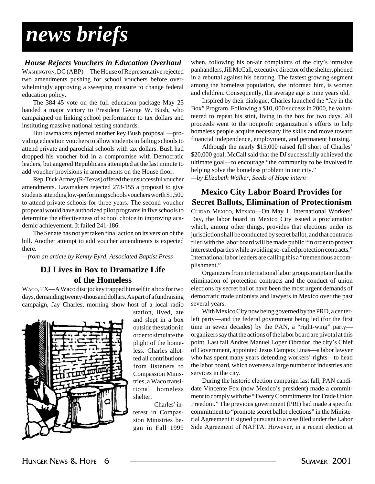## *news briefs*

#### *House Rejects Vouchers in Education Overhaul*

WASHINGTON, DC (ABP)—The House of Representative rejected two amendments pushing for school vouchers before overwhelmingly approving a sweeping measure to change federal education policy.

The 384-45 vote on the full education package May 23 handed a major victory to President George W. Bush, who campaigned on linking school performance to tax dollars and instituting massive national testing standards.

But lawmakers rejected another key Bush proposal —providing education vouchers to allow students in failing schools to attend private and parochial schools with tax dollars. Bush had dropped his voucher bid in a compromise with Democratic leaders, but angered Republicans attempted at the last minute to add voucher provisions in amendments on the House floor.

Rep. Dick Armey (R-Texas) offered the unsuccessful voucher amendments. Lawmakers rejected 273-155 a proposal to give students attending low-performing schools vouchers worth \$1,500 to attend private schools for three years. The second voucher proposal would have authorized pilot programs in five schools to determine the effectiveness of school choice in improving academic achievement. It failed 241-186.

The Senate has not yet taken final action on its version of the bill. Another attempt to add voucher amendments is expected there.

*—from an article by Kenny Byrd, Associated Baptist Press*

#### **DJ Lives in Box to Dramatize Life of the Homeless**

WACO, TX—A Waco disc jockey trapped himself in a box for two days, demanding twenty-thousand dollars. As part of a fundraising campaign, Jay Charles, morning show host of a local radio



station, lived, ate and slept in a box outside the station in order to simulate the plight of the homeless. Charles allotted all contributions from listeners to Compassion Ministries, a Waco transitional homeless shelter.

Charles' interest in Compassion Ministries began in Fall 1999

when, following his on-air complaints of the city's intrusive panhandlers, Jill McCall, executive director of the shelter, phoned in a rebuttal against his berating. The fastest growing segment among the homeless population, she informed him, is women and children. Consequently, the average age is nine years old.

Inspired by their dialogue, Charles launched the "Jay in the Box" Program. Following a \$10, 000 success in 2000, he volunteered to repeat his stint, living in the box for two days. All proceeds went to the nonprofit organization's efforts to help homeless people acquire necessary life skills and move toward financial independence, employment, and permanent housing.

Although the nearly \$15,000 raised fell short of Charles' \$20,000 goal, McCall said that the DJ successfully achieved the ultimate goal—to encourage "the community to be involved in helping solve the homeless problem in our city."

*—by Elizabeth Walker, Seeds of Hope intern*

#### **Mexico City Labor Board Provides for Secret Ballots, Elimination of Protectionism**

CUIDAD MEXICO, MEXICO—On May 1, International Workers' Day, the labor board in Mexico City issued a proclamation which, among other things, provides that elections under its jurisdiction shall be conducted by secret ballot, and that contracts filed with the labor board will be made public "in order to protect interested parties while avoiding so-called protection contracts." International labor leaders are calling this a "tremendous accomplishment."

Organizers from international labor groups maintain that the elimination of protection contracts and the conduct of union elections by secret ballot have been the most urgent demands of democratic trade unionists and lawyers in Mexico over the past several years.

With Mexico City now being governed by the PRD, a centerleft party—and the federal government being led (for the first time in seven decades) by the PAN, a "right-wing" party organizers say that the actions of the labor board are pivotal at this point. Last fall Andres Manuel Lopez Obrador, the city's Chief of Government, appointed Jesus Campos Linas—a labor lawyer who has spent many years defending workers' rights—to head the labor board, which oversees a large number of industries and services in the city.

During the historic election campaign last fall, PAN candidate Vincente Fox (now Mexico's president) made a commitment to comply with the "Twenty Commitments for Trade Union Freedom." The previous government (PRI) had made a specific commitment to "promote secret ballot elections" in the Ministerial Agreement it signed pursuant to a case filed under the Labor Side Agreement of NAFTA. However, in a recent election at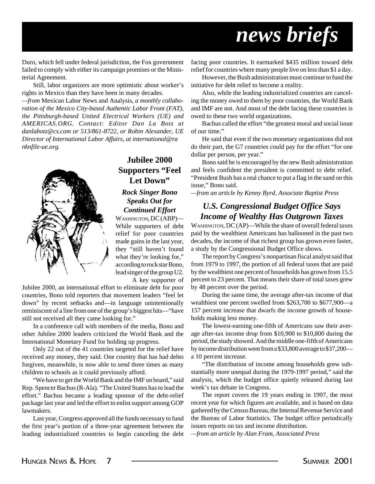## *news briefs*

Duro, which fell under federal jurisdiction, the Fox government failed to comply with either its campaign promises or the Ministerial Agreement.

Still, labor organizers are more optimistic about worker's rights in Mexico than they have been in many decades.

*—from* Mexican Labor News and Analysis*, a monthly collaboration of the Mexico City-based Authentic Labor Front (FAT), the Pittsburgh-based United Electrical Workers (UE) and AMERICAS.ORG. Contact: Editor Dan La Botz at danlabotz@cs.com or 513/861-8722, or Robin Alexander, UE Director of International Labor Affairs, at international@ra nknfile-ue.org.*



#### **Jubilee 2000 Supporters "Feel Let Down"**

#### *Rock Singer Bono Speaks Out for Continued Effort*

WASHINGTON, DC (ABP)— While supporters of debt relief for poor countries made gains in the last year, they "still haven't found what they're looking for," according to rock star Bono, lead singer of the group U2.

A key supporter of

Jubilee 2000, an international effort to eliminate debt for poor countries, Bono told reporters that movement leaders "feel let down" by recent setbacks and—in language unintentionally reminiscent of a line from one of the group's biggest hits—"have still not received all they came looking for."

In a conference call with members of the media, Bono and other Jubilee 2000 leaders criticized the World Bank and the International Monetary Fund for holding up progress.

Only 22 out of the 41 countries targeted for the relief have received any money, they said. One country that has had debts forgiven, meanwhile, is now able to send three times as many children to schools as it could previously afford.

"We have to get the World Bank and the IMF on board," said Rep. Spencer Bachus (R-Ala). "The United States has to lead the effort." Bachus became a leading sponsor of the debt-relief package last year and led the effort to enlist support among GOP lawmakers.

Last year, Congress approved all the funds necessary to fund the first year's portion of a three-year agreement between the leading industrialized countries to begin canceling the debt facing poor countries. It earmarked \$435 million toward debt relief for countries where many people live on less than \$1 a day.

However, the Bush administration must continue to fund the initiative for debt relief to become a reality.

Also, while the leading industrialized countries are canceling the money owed to them by poor countries, the World Bank and IMF are not. And most of the debt facing these countries is owed to these two world organizations.

Bachus called the effort "the greatest moral and social issue of our time."

He said that even if the two monetary organizations did not do their part, the G7 countries could pay for the effort "for one dollar per person, per year."

Bono said he is encouraged by the new Bush administration and feels confident the president is committed to debt relief. "President Bush has a real chance to put a flag in the sand on this issue," Bono said.

*—from an article by Kenny Byrd, Associate Baptist Press*

#### *U.S. Congressional Budget Office Says Income of Wealthy Has Outgrown Taxes*

WASHINGTON, DC (AP)—While the share of overall federal taxes paid by the wealthiest Americans has ballooned in the past two decades, the income of that richest group has grown even faster, a study by the Congressional Budget Office shows.

The report by Congress's nonpartisan fiscal analyst said that from 1979 to 1997, the portion of all federal taxes that are paid by the wealthiest one percent of households has grown from 15.5 percent to 23 percent. That means their share of total taxes grew by 48 percent over the period.

During the same time, the average after-tax income of that wealthiest one percent swelled from \$263,700 to \$677,900—a 157 percent increase that dwarfs the income growth of households making less money.

The lowest-earning one-fifth of Americans saw their average after-tax income drop from \$10,900 to \$10,800 during the period, the study showed. And the middle one-fifth of Americans by income distribution went from a \$33,800 average to \$37,200 a 10 percent increase.

"The distribution of income among households grew substantially more unequal during the 1979-1997 period," said the analysis, which the budget office quietly released during last week's tax debate in Congress.

The report covers the 19 years ending in 1997, the most recent year for which figures are available, and is based on data gathered by the Census Bureau, the Internal Revenue Service and the Bureau of Labor Statistics. The budget office periodically issues reports on tax and income distribution.

*—from an article by Alan Fram, Associated Press*